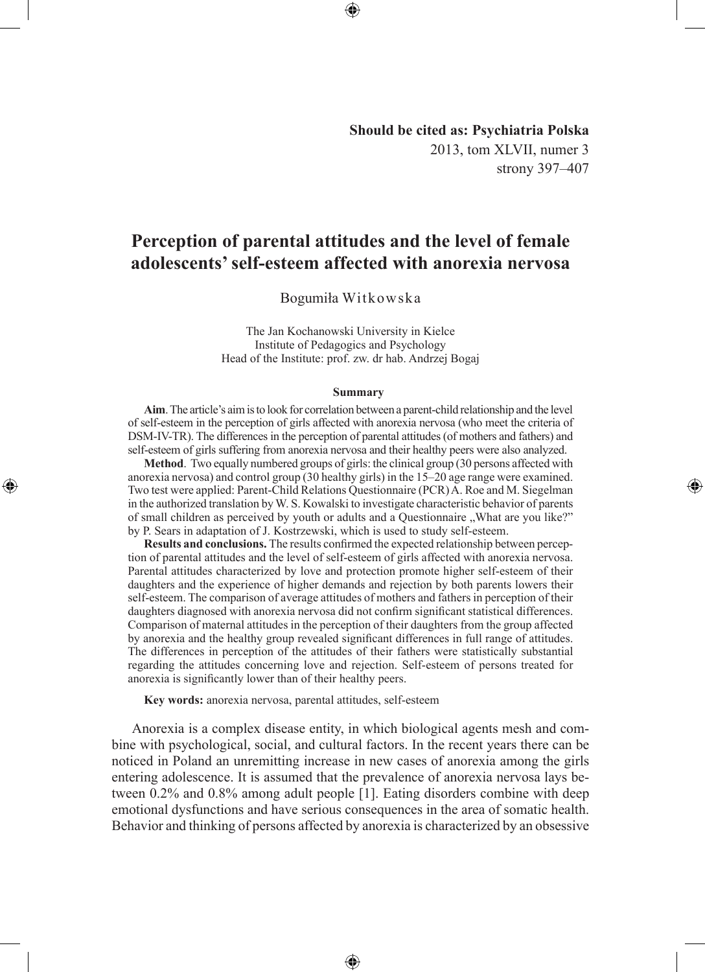**Should be cited as: Psychiatria Polska** 2013, tom XLVII, numer 3 strony 397–407

◈

# **Perception of parental attitudes and the level of female adolescents' self-esteem affected with anorexia nervosa**

Bogumiła Witkowska

The Jan Kochanowski University in Kielce Institute of Pedagogics and Psychology Head of the Institute: prof. zw. dr hab. Andrzej Bogaj

#### **Summary**

**Aim**. The article's aim is to look for correlation between a parent-child relationship and the level of self-esteem in the perception of girls affected with anorexia nervosa (who meet the criteria of DSM-IV-TR). The differences in the perception of parental attitudes (of mothers and fathers) and self-esteem of girls suffering from anorexia nervosa and their healthy peers were also analyzed.

**Method**. Two equally numbered groups of girls: the clinical group (30 persons affected with anorexia nervosa) and control group (30 healthy girls) in the 15–20 age range were examined. Two test were applied: Parent-Child Relations Questionnaire (PCR) A. Roe and M. Siegelman in the authorized translation by W. S. Kowalski to investigate characteristic behavior of parents of small children as perceived by youth or adults and a Questionnaire "What are you like?" by P. Sears in adaptation of J. Kostrzewski, which is used to study self-esteem.

**Results and conclusions.** The results confirmed the expected relationship between perception of parental attitudes and the level of self-esteem of girls affected with anorexia nervosa. Parental attitudes characterized by love and protection promote higher self-esteem of their daughters and the experience of higher demands and rejection by both parents lowers their self-esteem. The comparison of average attitudes of mothers and fathers in perception of their daughters diagnosed with anorexia nervosa did not confirm significant statistical differences. Comparison of maternal attitudes in the perception of their daughters from the group affected by anorexia and the healthy group revealed significant differences in full range of attitudes. The differences in perception of the attitudes of their fathers were statistically substantial regarding the attitudes concerning love and rejection. Self-esteem of persons treated for anorexia is significantly lower than of their healthy peers.

**Key words:** anorexia nervosa, parental attitudes, self-esteem

◈

Anorexia is a complex disease entity, in which biological agents mesh and combine with psychological, social, and cultural factors. In the recent years there can be noticed in Poland an unremitting increase in new cases of anorexia among the girls entering adolescence. It is assumed that the prevalence of anorexia nervosa lays between 0.2% and 0.8% among adult people [1]. Eating disorders combine with deep emotional dysfunctions and have serious consequences in the area of somatic health. Behavior and thinking of persons affected by anorexia is characterized by an obsessive

⊕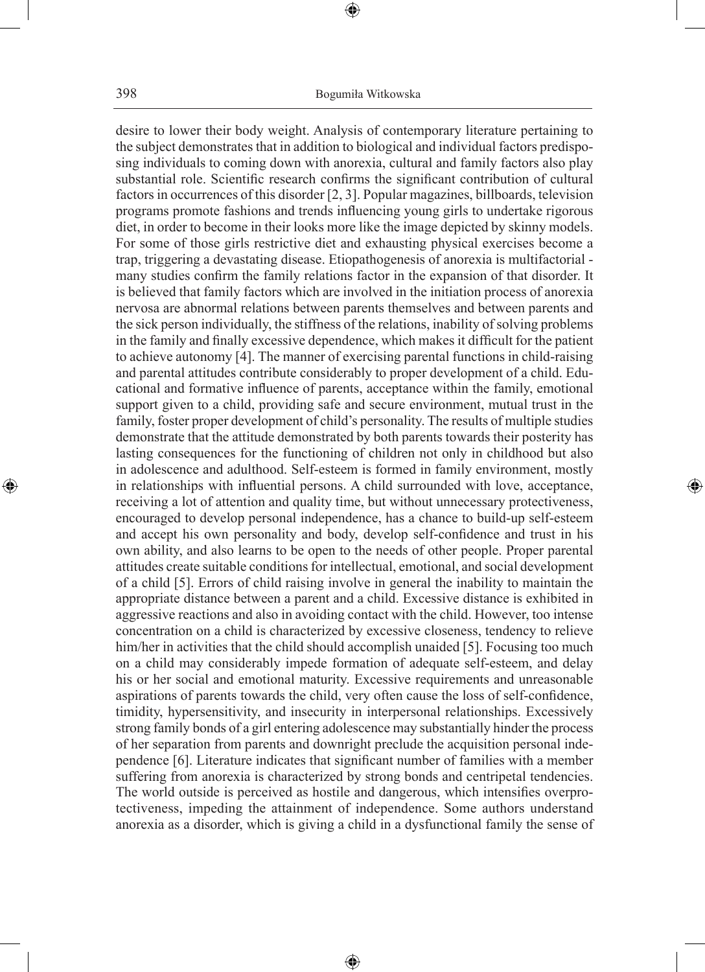⊕

desire to lower their body weight. Analysis of contemporary literature pertaining to the subject demonstrates that in addition to biological and individual factors predisposing individuals to coming down with anorexia, cultural and family factors also play substantial role. Scientific research confirms the significant contribution of cultural factors in occurrences of this disorder [2, 3]. Popular magazines, billboards, television programs promote fashions and trends influencing young girls to undertake rigorous diet, in order to become in their looks more like the image depicted by skinny models. For some of those girls restrictive diet and exhausting physical exercises become a trap, triggering a devastating disease. Etiopathogenesis of anorexia is multifactorial many studies confirm the family relations factor in the expansion of that disorder. It is believed that family factors which are involved in the initiation process of anorexia nervosa are abnormal relations between parents themselves and between parents and the sick person individually, the stiffness of the relations, inability of solving problems in the family and finally excessive dependence, which makes it difficult for the patient to achieve autonomy [4]. The manner of exercising parental functions in child-raising and parental attitudes contribute considerably to proper development of a child. Educational and formative influence of parents, acceptance within the family, emotional support given to a child, providing safe and secure environment, mutual trust in the family, foster proper development of child's personality. The results of multiple studies demonstrate that the attitude demonstrated by both parents towards their posterity has lasting consequences for the functioning of children not only in childhood but also in adolescence and adulthood. Self-esteem is formed in family environment, mostly in relationships with influential persons. A child surrounded with love, acceptance, receiving a lot of attention and quality time, but without unnecessary protectiveness, encouraged to develop personal independence, has a chance to build-up self-esteem and accept his own personality and body, develop self-confidence and trust in his own ability, and also learns to be open to the needs of other people. Proper parental attitudes create suitable conditions for intellectual, emotional, and social development of a child [5]. Errors of child raising involve in general the inability to maintain the appropriate distance between a parent and a child. Excessive distance is exhibited in aggressive reactions and also in avoiding contact with the child. However, too intense concentration on a child is characterized by excessive closeness, tendency to relieve him/her in activities that the child should accomplish unaided [5]. Focusing too much on a child may considerably impede formation of adequate self-esteem, and delay his or her social and emotional maturity. Excessive requirements and unreasonable aspirations of parents towards the child, very often cause the loss of self-confidence, timidity, hypersensitivity, and insecurity in interpersonal relationships. Excessively strong family bonds of a girl entering adolescence may substantially hinder the process of her separation from parents and downright preclude the acquisition personal independence [6]. Literature indicates that significant number of families with a member suffering from anorexia is characterized by strong bonds and centripetal tendencies. The world outside is perceived as hostile and dangerous, which intensifies overprotectiveness, impeding the attainment of independence. Some authors understand anorexia as a disorder, which is giving a child in a dysfunctional family the sense of

⊕

◈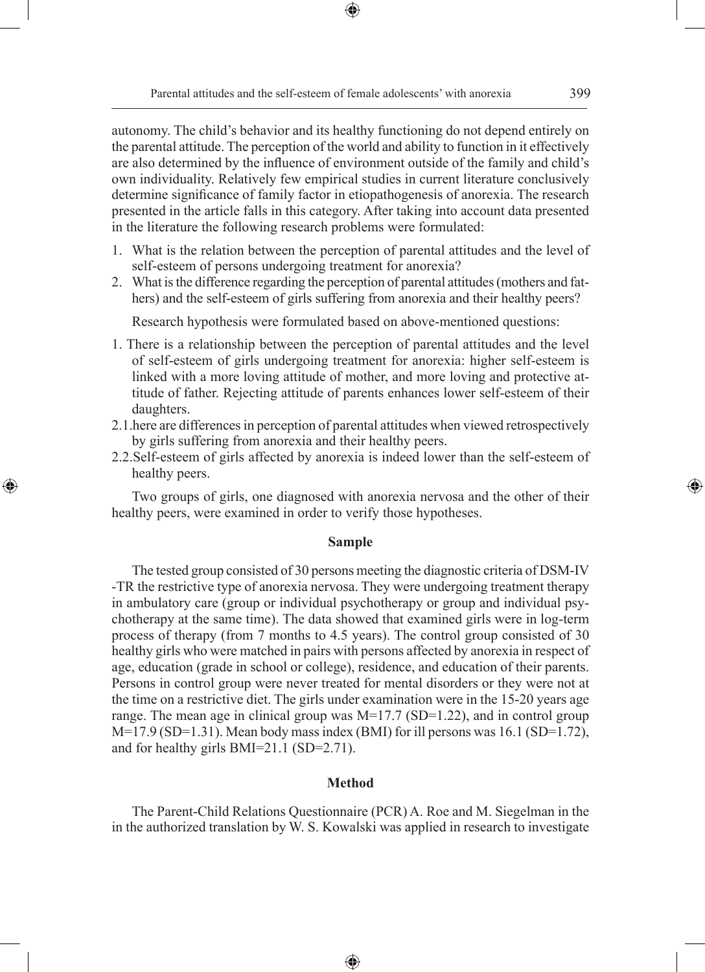autonomy. The child's behavior and its healthy functioning do not depend entirely on the parental attitude. The perception of the world and ability to function in it effectively are also determined by the influence of environment outside of the family and child's own individuality. Relatively few empirical studies in current literature conclusively determine significance of family factor in etiopathogenesis of anorexia. The research presented in the article falls in this category. After taking into account data presented in the literature the following research problems were formulated:

⊕

- 1. What is the relation between the perception of parental attitudes and the level of self-esteem of persons undergoing treatment for anorexia?
- 2. What is the difference regarding the perception of parental attitudes (mothers and fathers) and the self-esteem of girls suffering from anorexia and their healthy peers?

Research hypothesis were formulated based on above-mentioned questions:

- 1. There is a relationship between the perception of parental attitudes and the level of self-esteem of girls undergoing treatment for anorexia: higher self-esteem is linked with a more loving attitude of mother, and more loving and protective attitude of father. Rejecting attitude of parents enhances lower self-esteem of their daughters.
- 2.1.here are differences in perception of parental attitudes when viewed retrospectively by girls suffering from anorexia and their healthy peers.
- 2.2.Self-esteem of girls affected by anorexia is indeed lower than the self-esteem of healthy peers.

◈

Two groups of girls, one diagnosed with anorexia nervosa and the other of their healthy peers, were examined in order to verify those hypotheses.

## **Sample**

The tested group consisted of 30 persons meeting the diagnostic criteria of DSM-IV -TR the restrictive type of anorexia nervosa. They were undergoing treatment therapy in ambulatory care (group or individual psychotherapy or group and individual psychotherapy at the same time). The data showed that examined girls were in log-term process of therapy (from 7 months to 4.5 years). The control group consisted of 30 healthy girls who were matched in pairs with persons affected by anorexia in respect of age, education (grade in school or college), residence, and education of their parents. Persons in control group were never treated for mental disorders or they were not at the time on a restrictive diet. The girls under examination were in the 15-20 years age range. The mean age in clinical group was  $M=17.7$  (SD=1.22), and in control group  $M=17.9$  (SD=1.31). Mean body mass index (BMI) for ill persons was 16.1 (SD=1.72), and for healthy girls BMI=21.1 (SD=2.71).

#### **Method**

The Parent-Child Relations Questionnaire (PCR) A. Roe and M. Siegelman in the in the authorized translation by W. S. Kowalski was applied in research to investigate

⊕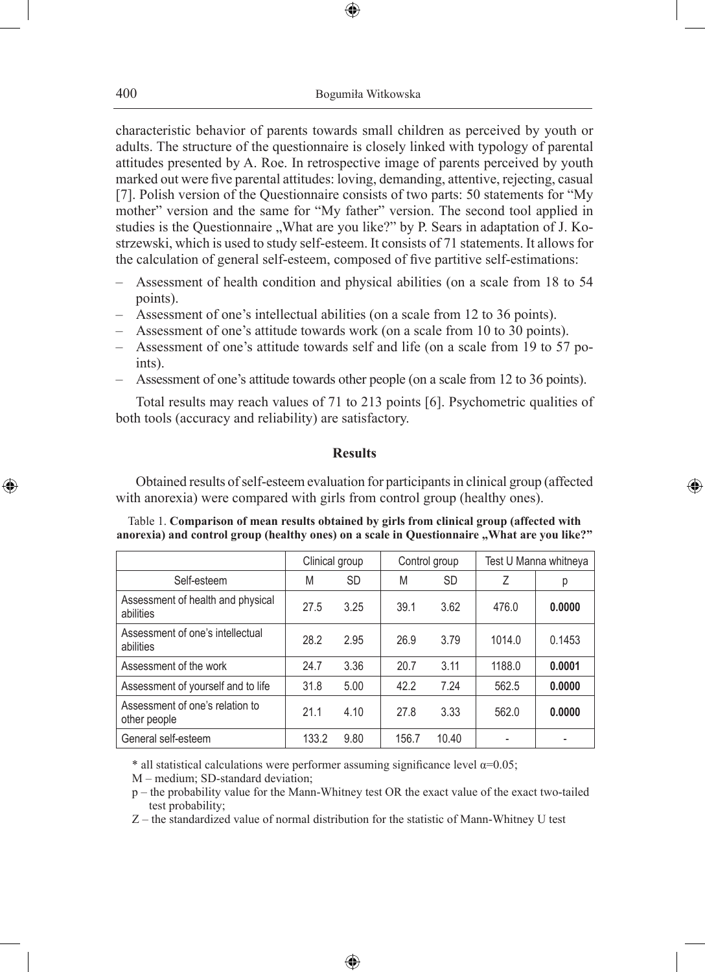⊕

characteristic behavior of parents towards small children as perceived by youth or adults. The structure of the questionnaire is closely linked with typology of parental attitudes presented by A. Roe. In retrospective image of parents perceived by youth marked out were five parental attitudes: loving, demanding, attentive, rejecting, casual [7]. Polish version of the Questionnaire consists of two parts: 50 statements for "My mother" version and the same for "My father" version. The second tool applied in studies is the Questionnaire "What are you like?" by P. Sears in adaptation of J. Kostrzewski, which is used to study self-esteem. It consists of 71 statements. It allows for the calculation of general self-esteem, composed of five partitive self-estimations:

- Assessment of health condition and physical abilities (on a scale from 18 to 54 points).
- Assessment of one's intellectual abilities (on a scale from 12 to 36 points).
- Assessment of one's attitude towards work (on a scale from 10 to 30 points).
- Assessment of one's attitude towards self and life (on a scale from 19 to 57 points).
- Assessment of one's attitude towards other people (on a scale from 12 to 36 points).

Total results may reach values of 71 to 213 points [6]. Psychometric qualities of both tools (accuracy and reliability) are satisfactory.

#### **Results**

Obtained results of self-esteem evaluation for participants in clinical group (affected with anorexia) were compared with girls from control group (healthy ones).

◈

Table 1. **Comparison of mean results obtained by girls from clinical group (affected with**  anorexia) and control group (healthy ones) on a scale in Questionnaire "What are you like?"

|                                                 | Clinical group |           |       | Control group | Test U Manna whitneya |        |
|-------------------------------------------------|----------------|-----------|-------|---------------|-----------------------|--------|
| Self-esteem                                     | M              | <b>SD</b> | M     | <b>SD</b>     | Ζ                     | р      |
| Assessment of health and physical<br>abilities  | 27.5           | 3.25      | 39.1  | 3.62          | 476.0                 | 0.0000 |
| Assessment of one's intellectual<br>abilities   | 28.2           | 2.95      | 26.9  | 3.79          | 1014.0                | 0.1453 |
| Assessment of the work                          | 24.7           | 3.36      | 20.7  | 3.11          | 1188.0                | 0.0001 |
| Assessment of yourself and to life              | 31.8           | 5.00      | 42.2  | 7.24          | 562.5                 | 0.0000 |
| Assessment of one's relation to<br>other people | 21.1           | 4.10      | 27.8  | 3.33          | 562.0                 | 0.0000 |
| General self-esteem                             | 133.2          | 9.80      | 156.7 | 10.40         |                       |        |

\* all statistical calculations were performer assuming significance level  $\alpha$ =0.05;

M – medium; SD-standard deviation;

p – the probability value for the Mann-Whitney test OR the exact value of the exact two-tailed test probability;

Z – the standardized value of normal distribution for the statistic of Mann-Whitney U test

♠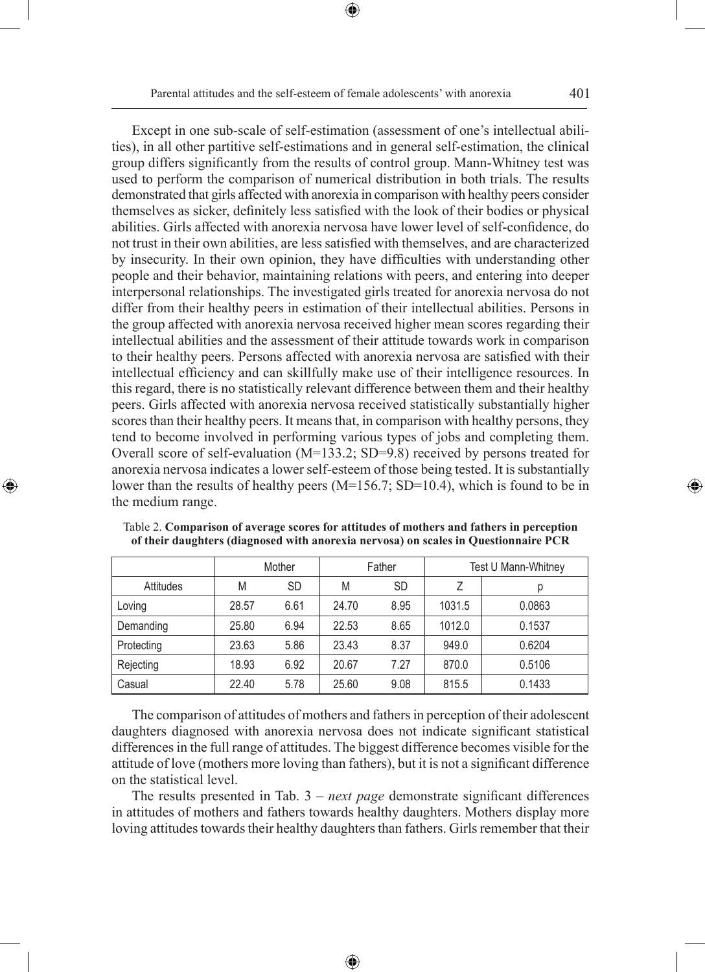⊕

Except in one sub-scale of self-estimation (assessment of one's intellectual abilities), in all other partitive self-estimations and in general self-estimation, the clinical

group differs significantly from the results of control group. Mann-Whitney test was used to perform the comparison of numerical distribution in both trials. The results demonstrated that girls affected with anorexia in comparison with healthy peers consider themselves as sicker, definitely less satisfied with the look of their bodies or physical abilities. Girls affected with anorexia nervosa have lower level of self-confidence, do not trust in their own abilities, are less satisfied with themselves, and are characterized by insecurity. In their own opinion, they have difficulties with understanding other people and their behavior, maintaining relations with peers, and entering into deeper interpersonal relationships. The investigated girls treated for anorexia nervosa do not differ from their healthy peers in estimation of their intellectual abilities. Persons in the group affected with anorexia nervosa received higher mean scores regarding their intellectual abilities and the assessment of their attitude towards work in comparison to their healthy peers. Persons affected with anorexia nervosa are satisfied with their intellectual efficiency and can skillfully make use of their intelligence resources. In this regard, there is no statistically relevant difference between them and their healthy peers. Girls affected with anorexia nervosa received statistically substantially higher scores than their healthy peers. It means that, in comparison with healthy persons, they tend to become involved in performing various types of jobs and completing them. Overall score of self-evaluation (M=133.2; SD=9.8) received by persons treated for anorexia nervosa indicates a lower self-esteem of those being tested. It is substantially lower than the results of healthy peers  $(M=156.7; SD=10.4)$ , which is found to be in the medium range.

|            | Mother |           |       | Father | Test U Mann-Whitney |        |  |
|------------|--------|-----------|-------|--------|---------------------|--------|--|
| Attitudes  | M      | <b>SD</b> | M     | SD     |                     | р      |  |
| Loving     | 28.57  | 6.61      | 24.70 | 8.95   | 1031.5              | 0.0863 |  |
| Demanding  | 25.80  | 6.94      | 22.53 | 8.65   | 1012.0              | 0.1537 |  |
| Protecting | 23.63  | 5.86      | 23.43 | 8.37   | 949.0               | 0.6204 |  |
| Rejecting  | 18.93  | 6.92      | 20.67 | 7.27   | 870.0               | 0.5106 |  |
| Casual     | 22.40  | 5.78      | 25.60 | 9.08   | 815.5               | 0.1433 |  |

Table 2. **Comparison of average scores for attitudes of mothers and fathers in perception of their daughters (diagnosed with anorexia nervosa) on scales in Questionnaire PCR** 

◈

The comparison of attitudes of mothers and fathers in perception of their adolescent daughters diagnosed with anorexia nervosa does not indicate significant statistical differences in the full range of attitudes. The biggest difference becomes visible for the attitude of love (mothers more loving than fathers), but it is not a significant difference on the statistical level.

The results presented in Tab. 3 – *next page* demonstrate significant differences in attitudes of mothers and fathers towards healthy daughters. Mothers display more loving attitudes towards their healthy daughters than fathers. Girls remember that their

⊕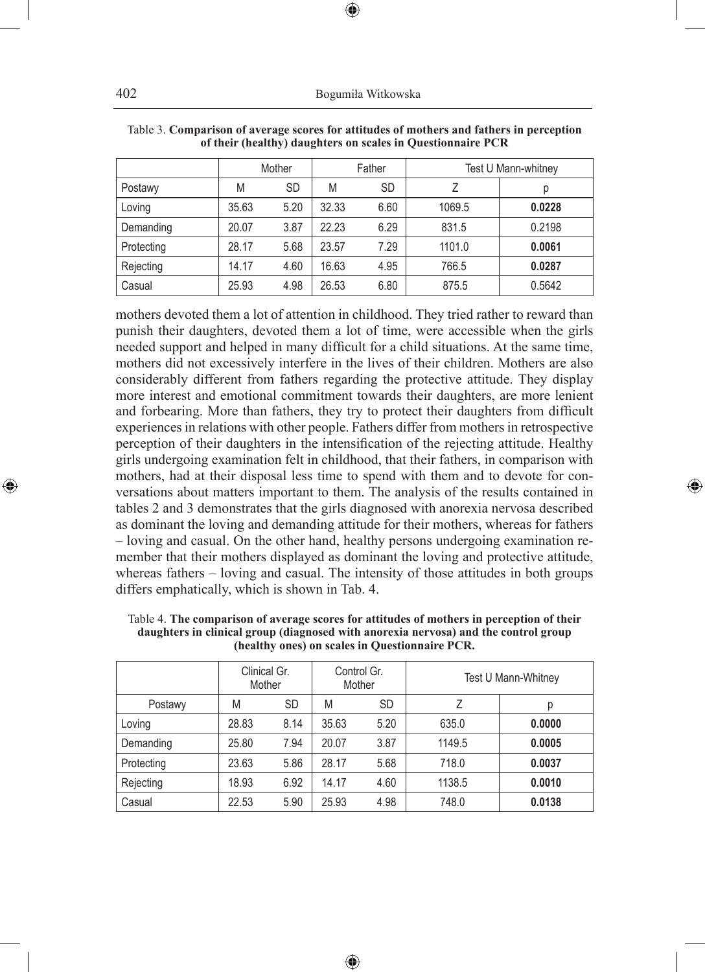402 Bogumiła Witkowska

|            |       | Mother    | Father |           | Test U Mann-whitney |        |  |
|------------|-------|-----------|--------|-----------|---------------------|--------|--|
| Postawy    | M     | <b>SD</b> | M      | <b>SD</b> |                     | р      |  |
| Loving     | 35.63 | 5.20      | 32.33  | 6.60      | 1069.5              | 0.0228 |  |
| Demanding  | 20.07 | 3.87      | 22.23  | 6.29      | 831.5               | 0.2198 |  |
| Protecting | 28.17 | 5.68      | 23.57  | 7.29      | 1101.0              | 0.0061 |  |
| Rejecting  | 14.17 | 4.60      | 16.63  | 4.95      | 766.5               | 0.0287 |  |
| Casual     | 25.93 | 4.98      | 26.53  | 6.80      | 875.5               | 0.5642 |  |

| Table 3. Comparison of average scores for attitudes of mothers and fathers in perception |  |  |  |
|------------------------------------------------------------------------------------------|--|--|--|
| of their (healthy) daughters on scales in Questionnaire PCR                              |  |  |  |

⊕

mothers devoted them a lot of attention in childhood. They tried rather to reward than punish their daughters, devoted them a lot of time, were accessible when the girls needed support and helped in many difficult for a child situations. At the same time, mothers did not excessively interfere in the lives of their children. Mothers are also considerably different from fathers regarding the protective attitude. They display more interest and emotional commitment towards their daughters, are more lenient and forbearing. More than fathers, they try to protect their daughters from difficult experiences in relations with other people. Fathers differ from mothers in retrospective perception of their daughters in the intensification of the rejecting attitude. Healthy girls undergoing examination felt in childhood, that their fathers, in comparison with mothers, had at their disposal less time to spend with them and to devote for conversations about matters important to them. The analysis of the results contained in tables 2 and 3 demonstrates that the girls diagnosed with anorexia nervosa described as dominant the loving and demanding attitude for their mothers, whereas for fathers – loving and casual. On the other hand, healthy persons undergoing examination remember that their mothers displayed as dominant the loving and protective attitude, whereas fathers – loving and casual. The intensity of those attitudes in both groups differs emphatically, which is shown in Tab. 4.

◈

|            | Clinical Gr.<br>Mother |           | Control Gr.<br>Mother |           | Test U Mann-Whitney |        |  |
|------------|------------------------|-----------|-----------------------|-----------|---------------------|--------|--|
| Postawy    | M                      | <b>SD</b> | M                     | <b>SD</b> | Z                   | р      |  |
| Loving     | 28.83                  | 8.14      | 35.63                 | 5.20      | 635.0               | 0.0000 |  |
| Demanding  | 25.80                  | 7.94      | 20.07                 | 3.87      | 1149.5              | 0.0005 |  |
| Protecting | 23.63                  | 5.86      | 28.17                 | 5.68      | 718.0               | 0.0037 |  |
| Rejecting  | 18.93                  | 6.92      | 14.17                 | 4.60      | 1138.5              | 0.0010 |  |
| Casual     | 22.53                  | 5.90      | 25.93                 | 4.98      | 748.0               | 0.0138 |  |

♠

Table 4. **The comparison of average scores for attitudes of mothers in perception of their daughters in clinical group (diagnosed with anorexia nervosa) and the control group (healthy ones) on scales in Questionnaire PCR.**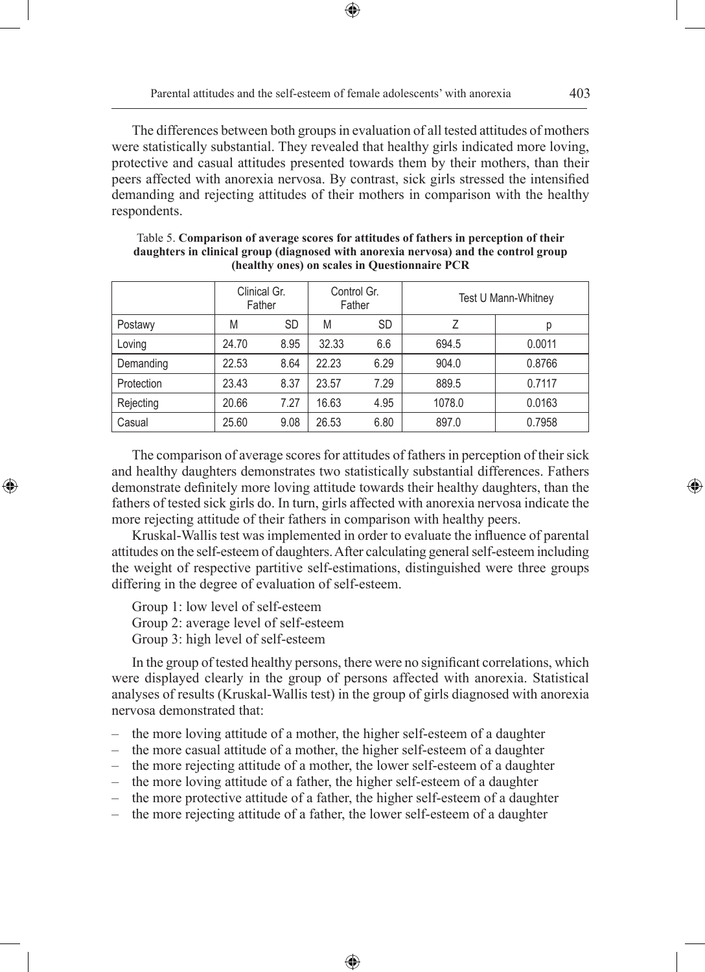The differences between both groups in evaluation of all tested attitudes of mothers were statistically substantial. They revealed that healthy girls indicated more loving, protective and casual attitudes presented towards them by their mothers, than their peers affected with anorexia nervosa. By contrast, sick girls stressed the intensified demanding and rejecting attitudes of their mothers in comparison with the healthy respondents.

⊕

|            | Clinical Gr.<br>Father |           | Control Gr.<br>Father |      | Test U Mann-Whitney |        |  |
|------------|------------------------|-----------|-----------------------|------|---------------------|--------|--|
| Postawy    | M                      | <b>SD</b> | M                     | SD   | 7                   | р      |  |
| Loving     | 24.70                  | 8.95      | 32.33                 | 6.6  | 694.5               | 0.0011 |  |
| Demanding  | 22.53                  | 8.64      | 22.23                 | 6.29 | 904.0               | 0.8766 |  |
| Protection | 23.43                  | 8.37      | 23.57                 | 7.29 | 889.5               | 0.7117 |  |
| Rejecting  | 20.66                  | 7.27      | 16.63                 | 4.95 | 1078.0              | 0.0163 |  |
| Casual     | 25.60                  | 9.08      | 26.53                 | 6.80 | 897.0               | 0.7958 |  |

Table 5. **Comparison of average scores for attitudes of fathers in perception of their daughters in clinical group (diagnosed with anorexia nervosa) and the control group (healthy ones) on scales in Questionnaire PCR**

The comparison of average scores for attitudes of fathers in perception of their sick and healthy daughters demonstrates two statistically substantial differences. Fathers demonstrate definitely more loving attitude towards their healthy daughters, than the fathers of tested sick girls do. In turn, girls affected with anorexia nervosa indicate the more rejecting attitude of their fathers in comparison with healthy peers.

Kruskal-Wallis test was implemented in order to evaluate the influence of parental attitudes on the self-esteem of daughters. After calculating general self-esteem including the weight of respective partitive self-estimations, distinguished were three groups differing in the degree of evaluation of self-esteem.

Group 1: low level of self-esteem

◈

Group 2: average level of self-esteem

Group 3: high level of self-esteem

In the group of tested healthy persons, there were no significant correlations, which were displayed clearly in the group of persons affected with anorexia. Statistical analyses of results (Kruskal-Wallis test) in the group of girls diagnosed with anorexia nervosa demonstrated that:

- the more loving attitude of a mother, the higher self-esteem of a daughter
- the more casual attitude of a mother, the higher self-esteem of a daughter
- the more rejecting attitude of a mother, the lower self-esteem of a daughter
- the more loving attitude of a father, the higher self-esteem of a daughter
- the more protective attitude of a father, the higher self-esteem of a daughter

⊕

– the more rejecting attitude of a father, the lower self-esteem of a daughter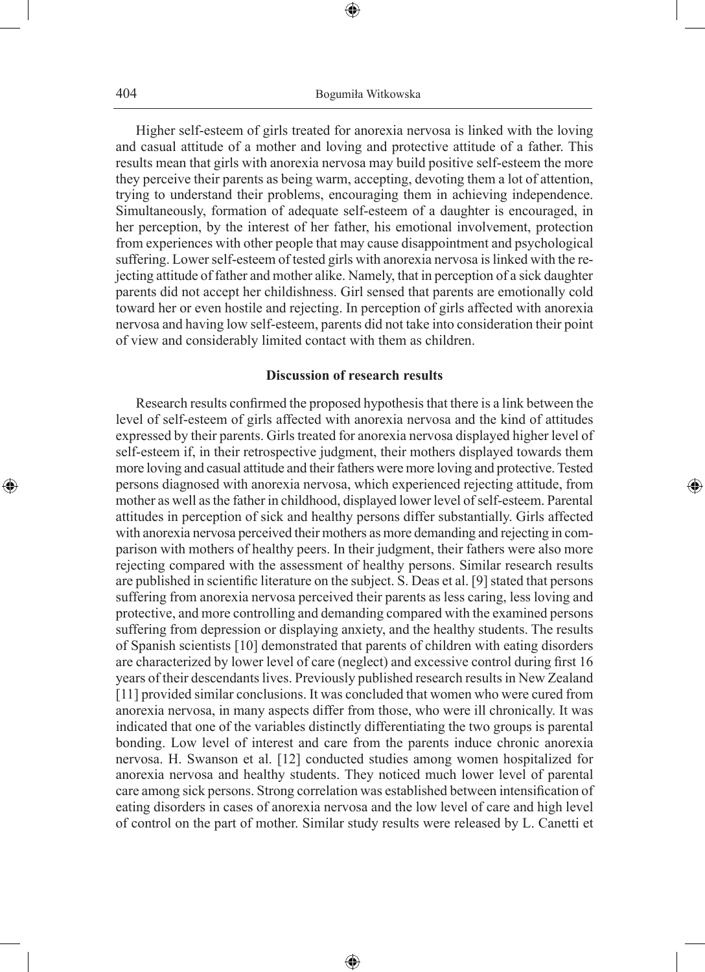⊕

Higher self-esteem of girls treated for anorexia nervosa is linked with the loving and casual attitude of a mother and loving and protective attitude of a father. This results mean that girls with anorexia nervosa may build positive self-esteem the more they perceive their parents as being warm, accepting, devoting them a lot of attention, trying to understand their problems, encouraging them in achieving independence. Simultaneously, formation of adequate self-esteem of a daughter is encouraged, in her perception, by the interest of her father, his emotional involvement, protection from experiences with other people that may cause disappointment and psychological suffering. Lower self-esteem of tested girls with anorexia nervosa is linked with the rejecting attitude of father and mother alike. Namely, that in perception of a sick daughter parents did not accept her childishness. Girl sensed that parents are emotionally cold toward her or even hostile and rejecting. In perception of girls affected with anorexia nervosa and having low self-esteem, parents did not take into consideration their point of view and considerably limited contact with them as children.

#### **Discussion of research results**

◈

Research results confirmed the proposed hypothesis that there is a link between the level of self-esteem of girls affected with anorexia nervosa and the kind of attitudes expressed by their parents. Girls treated for anorexia nervosa displayed higher level of self-esteem if, in their retrospective judgment, their mothers displayed towards them more loving and casual attitude and their fathers were more loving and protective. Tested persons diagnosed with anorexia nervosa, which experienced rejecting attitude, from mother as well as the father in childhood, displayed lower level of self-esteem. Parental attitudes in perception of sick and healthy persons differ substantially. Girls affected with anorexia nervosa perceived their mothers as more demanding and rejecting in comparison with mothers of healthy peers. In their judgment, their fathers were also more rejecting compared with the assessment of healthy persons. Similar research results are published in scientific literature on the subject. S. Deas et al. [9] stated that persons suffering from anorexia nervosa perceived their parents as less caring, less loving and protective, and more controlling and demanding compared with the examined persons suffering from depression or displaying anxiety, and the healthy students. The results of Spanish scientists [10] demonstrated that parents of children with eating disorders are characterized by lower level of care (neglect) and excessive control during first 16 years of their descendants lives. Previously published research results in New Zealand [11] provided similar conclusions. It was concluded that women who were cured from anorexia nervosa, in many aspects differ from those, who were ill chronically. It was indicated that one of the variables distinctly differentiating the two groups is parental bonding. Low level of interest and care from the parents induce chronic anorexia nervosa. H. Swanson et al. [12] conducted studies among women hospitalized for anorexia nervosa and healthy students. They noticed much lower level of parental care among sick persons. Strong correlation was established between intensification of eating disorders in cases of anorexia nervosa and the low level of care and high level of control on the part of mother. Similar study results were released by L. Canetti et

⊕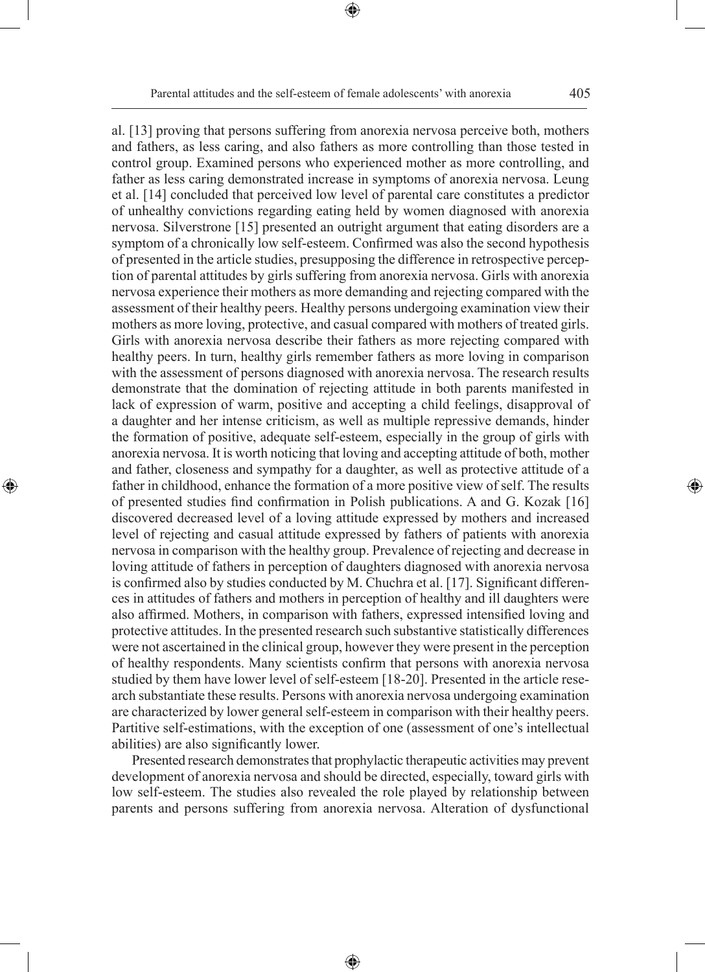⊕

al. [13] proving that persons suffering from anorexia nervosa perceive both, mothers and fathers, as less caring, and also fathers as more controlling than those tested in control group. Examined persons who experienced mother as more controlling, and father as less caring demonstrated increase in symptoms of anorexia nervosa. Leung et al. [14] concluded that perceived low level of parental care constitutes a predictor of unhealthy convictions regarding eating held by women diagnosed with anorexia nervosa. Silverstrone [15] presented an outright argument that eating disorders are a symptom of a chronically low self-esteem. Confirmed was also the second hypothesis of presented in the article studies, presupposing the difference in retrospective perception of parental attitudes by girls suffering from anorexia nervosa. Girls with anorexia nervosa experience their mothers as more demanding and rejecting compared with the assessment of their healthy peers. Healthy persons undergoing examination view their mothers as more loving, protective, and casual compared with mothers of treated girls. Girls with anorexia nervosa describe their fathers as more rejecting compared with healthy peers. In turn, healthy girls remember fathers as more loving in comparison with the assessment of persons diagnosed with anorexia nervosa. The research results demonstrate that the domination of rejecting attitude in both parents manifested in lack of expression of warm, positive and accepting a child feelings, disapproval of a daughter and her intense criticism, as well as multiple repressive demands, hinder the formation of positive, adequate self-esteem, especially in the group of girls with anorexia nervosa. It is worth noticing that loving and accepting attitude of both, mother and father, closeness and sympathy for a daughter, as well as protective attitude of a father in childhood, enhance the formation of a more positive view of self. The results of presented studies find confirmation in Polish publications. A and G. Kozak [16] discovered decreased level of a loving attitude expressed by mothers and increased level of rejecting and casual attitude expressed by fathers of patients with anorexia nervosa in comparison with the healthy group. Prevalence of rejecting and decrease in loving attitude of fathers in perception of daughters diagnosed with anorexia nervosa is confirmed also by studies conducted by M. Chuchra et al. [17]. Significant differences in attitudes of fathers and mothers in perception of healthy and ill daughters were also affirmed. Mothers, in comparison with fathers, expressed intensified loving and protective attitudes. In the presented research such substantive statistically differences

◈

were not ascertained in the clinical group, however they were present in the perception of healthy respondents. Many scientists confirm that persons with anorexia nervosa studied by them have lower level of self-esteem [18-20]. Presented in the article research substantiate these results. Persons with anorexia nervosa undergoing examination are characterized by lower general self-esteem in comparison with their healthy peers. Partitive self-estimations, with the exception of one (assessment of one's intellectual abilities) are also significantly lower.

Presented research demonstrates that prophylactic therapeutic activities may prevent development of anorexia nervosa and should be directed, especially, toward girls with low self-esteem. The studies also revealed the role played by relationship between parents and persons suffering from anorexia nervosa. Alteration of dysfunctional

⊕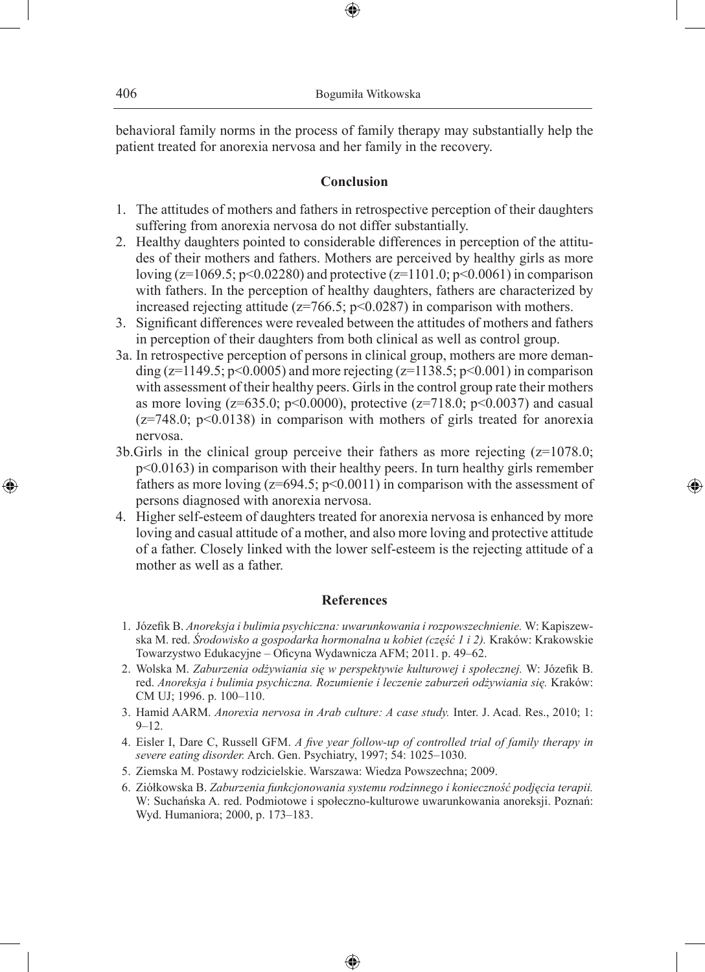behavioral family norms in the process of family therapy may substantially help the patient treated for anorexia nervosa and her family in the recovery.

⊕

#### **Conclusion**

- 1. The attitudes of mothers and fathers in retrospective perception of their daughters suffering from anorexia nervosa do not differ substantially.
- 2. Healthy daughters pointed to considerable differences in perception of the attitudes of their mothers and fathers. Mothers are perceived by healthy girls as more loving ( $z=1069.5$ ;  $p<0.02280$ ) and protective ( $z=1101.0$ ;  $p<0.0061$ ) in comparison with fathers. In the perception of healthy daughters, fathers are characterized by increased rejecting attitude ( $z=766.5$ ;  $p<0.0287$ ) in comparison with mothers.
- 3. Significant differences were revealed between the attitudes of mothers and fathers in perception of their daughters from both clinical as well as control group.
- 3a. In retrospective perception of persons in clinical group, mothers are more demanding ( $z=1149.5$ ;  $p<0.0005$ ) and more rejecting ( $z=1138.5$ ;  $p<0.001$ ) in comparison with assessment of their healthy peers. Girls in the control group rate their mothers as more loving ( $z=635.0$ ;  $p<0.0000$ ), protective ( $z=718.0$ ;  $p<0.0037$ ) and casual  $(z=748.0; p<0.0138)$  in comparison with mothers of girls treated for anorexia nervosa.
- 3b.Girls in the clinical group perceive their fathers as more rejecting (z=1078.0; p<0.0163) in comparison with their healthy peers. In turn healthy girls remember fathers as more loving  $(z=694.5; p<0.0011)$  in comparison with the assessment of persons diagnosed with anorexia nervosa.

◈

4. Higher self-esteem of daughters treated for anorexia nervosa is enhanced by more loving and casual attitude of a mother, and also more loving and protective attitude of a father. Closely linked with the lower self-esteem is the rejecting attitude of a mother as well as a father.

### **References**

- 1. Józefik B. *Anoreksja i bulimia psychiczna: uwarunkowania i rozpowszechnienie.* W: Kapiszewska M. red. *Środowisko a gospodarka hormonalna u kobiet (część 1 i 2).* Kraków: Krakowskie Towarzystwo Edukacyjne – Oficyna Wydawnicza AFM; 2011. p. 49–62.
- 2. Wolska M. *Zaburzenia odżywiania się w perspektywie kulturowej i społecznej.* W: Józefik B. red. *Anoreksja i bulimia psychiczna. Rozumienie i leczenie zaburzeń odżywiania się.* Kraków: CM UJ; 1996. p. 100–110.
- 3. Hamid AARM. *Anorexia nervosa in Arab culture: A case study.* Inter. J. Acad. Res., 2010; 1:  $9 - 12$ .
- 4. Eisler I, Dare C, Russell GFM. *A five year follow-up of controlled trial of family therapy in severe eating disorder.* Arch. Gen. Psychiatry, 1997; 54: 1025–1030.
- 5. Ziemska M. Postawy rodzicielskie. Warszawa: Wiedza Powszechna; 2009.
- 6. Ziółkowska B. *Zaburzenia funkcjonowania systemu rodzinnego i konieczność podjęcia terapii.* W: Suchańska A. red. Podmiotowe i społeczno-kulturowe uwarunkowania anoreksji. Poznań: Wyd. Humaniora; 2000, p. 173–183.

⊕